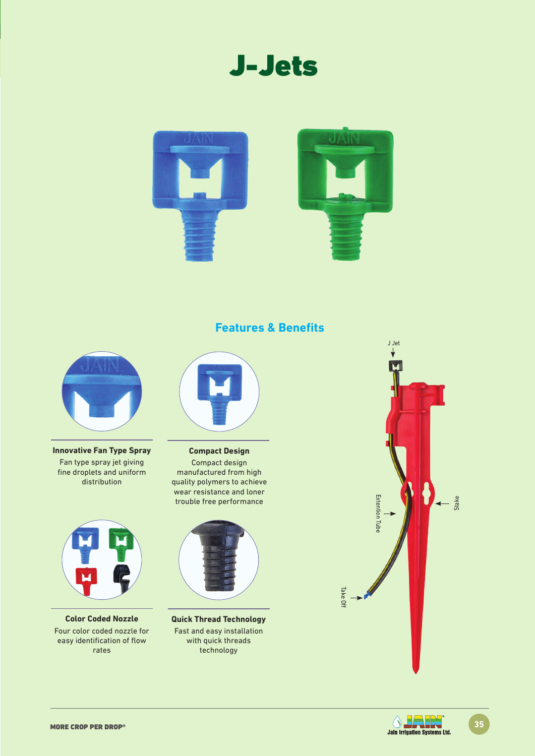



**Features & Benefits**



**Innovative Fan Type Spray** Fan type spray jet giving fine droplets and uniform distribution



**Color Coded Nozzle** Four color coded nozzle for easy identification of flow rates



**Compact Design** Compact design manufactured from high quality polymers to achieve wear resistance and loner trouble free performance



**Quick Thread Technology**  Fast and easy installation with quick threads technology